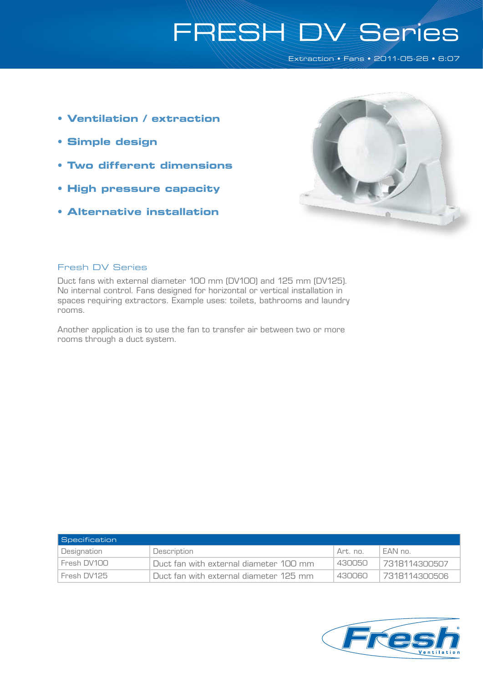# FRESH DV Series

Extraction • Fans • 2011-05-26 • 6:07

- **Ventilation / extraction**
- **Simple design**
- **Two different dimensions**
- **High pressure capacity**
- **Alternative installation**



#### Fresh DV Series

Duct fans with external diameter 100 mm (DV100) and 125 mm (DV125). No internal control. Fans designed for horizontal or vertical installation in spaces requiring extractors. Example uses: toilets, bathrooms and laundry rooms.

Another application is to use the fan to transfer air between two or more rooms through a duct system.

| <b>Specification</b> |                                        |          |               |
|----------------------|----------------------------------------|----------|---------------|
| Designation          | Description                            | Art. no. | FAN no.       |
| Fresh DV100          | Duct fan with external diameter 100 mm | 430050   | 7318114300507 |
| Fresh DV125          | Duct fan with external diameter 125 mm | 430060   | 7318114300506 |